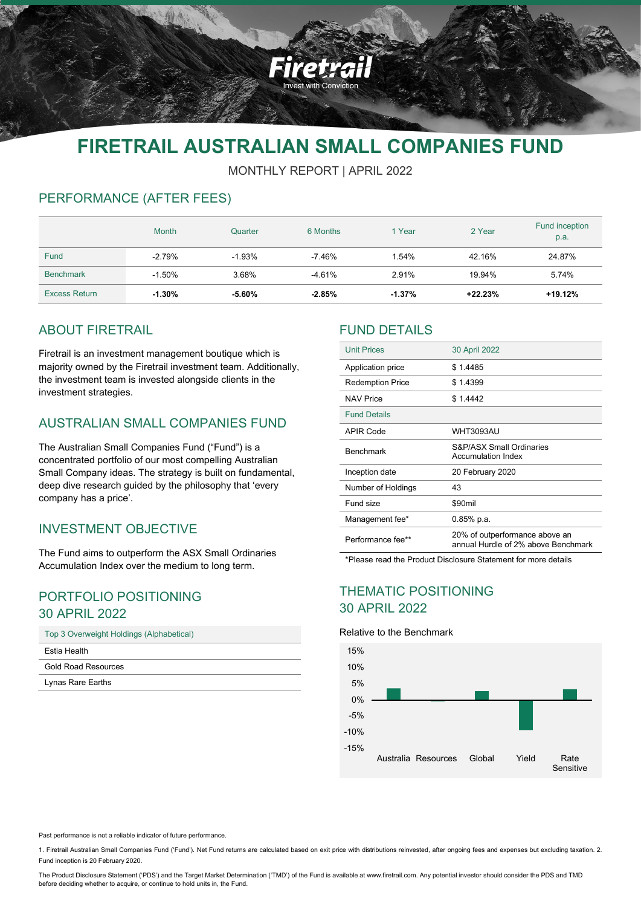

# **FIRETRAIL AUSTRALIAN SMALL COMPANIES FUND**

MONTHLY REPORT | APRIL 2022

# PERFORMANCE (AFTER FEES)

|                      | <b>Month</b> | Quarter   | 6 Months | 1 Year   | 2 Year  | Fund inception<br>p.a. |
|----------------------|--------------|-----------|----------|----------|---------|------------------------|
| <b>Fund</b>          | $-2.79%$     | $-1.93\%$ | -7.46%   | 1.54%    | 42.16%  | 24.87%                 |
| <b>Benchmark</b>     | $-1.50%$     | 3.68%     | $-4.61%$ | 2.91%    | 19.94%  | 5.74%                  |
| <b>Excess Return</b> | $-1.30\%$    | $-5.60\%$ | $-2.85%$ | $-1.37%$ | +22.23% | $+19.12%$              |

### ABOUT FIRETRAIL

Firetrail is an investment management boutique which is majority owned by the Firetrail investment team. Additionally, the investment team is invested alongside clients in the investment strategies.

# AUSTRALIAN SMALL COMPANIES FUND

The Australian Small Companies Fund ("Fund") is a concentrated portfolio of our most compelling Australian Small Company ideas. The strategy is built on fundamental, deep dive research guided by the philosophy that 'every company has a price'.

### INVESTMENT OBJECTIVE

The Fund aims to outperform the ASX Small Ordinaries Accumulation Index over the medium to long term.

# PORTFOLIO POSITIONING 30 APRIL 2022

| Top 3 Overweight Holdings (Alphabetical) |  |  |
|------------------------------------------|--|--|
| <b>Fstia Health</b>                      |  |  |
| Gold Road Resources                      |  |  |
| Lynas Rare Earths                        |  |  |

### FUND DETAILS

| <b>Unit Prices</b>      | 30 April 2022                                                         |  |  |
|-------------------------|-----------------------------------------------------------------------|--|--|
| Application price       | \$1.4485                                                              |  |  |
| <b>Redemption Price</b> | \$1.4399                                                              |  |  |
| <b>NAV Price</b>        | \$1.4442                                                              |  |  |
| <b>Fund Details</b>     |                                                                       |  |  |
| <b>APIR Code</b>        | <b>WHT3093AU</b>                                                      |  |  |
| <b>Benchmark</b>        | S&P/ASX Small Ordinaries<br><b>Accumulation Index</b>                 |  |  |
| Inception date          | 20 February 2020                                                      |  |  |
| Number of Holdings      | 43                                                                    |  |  |
| Fund size               | \$90mil                                                               |  |  |
| Management fee*         | $0.85%$ p.a.                                                          |  |  |
| Performance fee**       | 20% of outperformance above an<br>annual Hurdle of 2% above Benchmark |  |  |

\*Please read the Product Disclosure Statement for more details

### THEMATIC POSITIONING 30 APRIL 2022

#### Relative to the Benchmark



Past performance is not a reliable indicator of future performance.

1. Firetrail Australian Small Companies Fund ('Fund'). Net Fund returns are calculated based on exit price with distributions reinvested, after ongoing fees and expenses but excluding taxation. 2. Fund inception is 20 February 2020.

The Product Disclosure Statement ('PDS') and the Target Market Determination ('TMD') of the Fund is available at www.firetrail.com. Any potential investor should consider the PDS and TMD before deciding whether to acquire, or continue to hold units in, the Fund.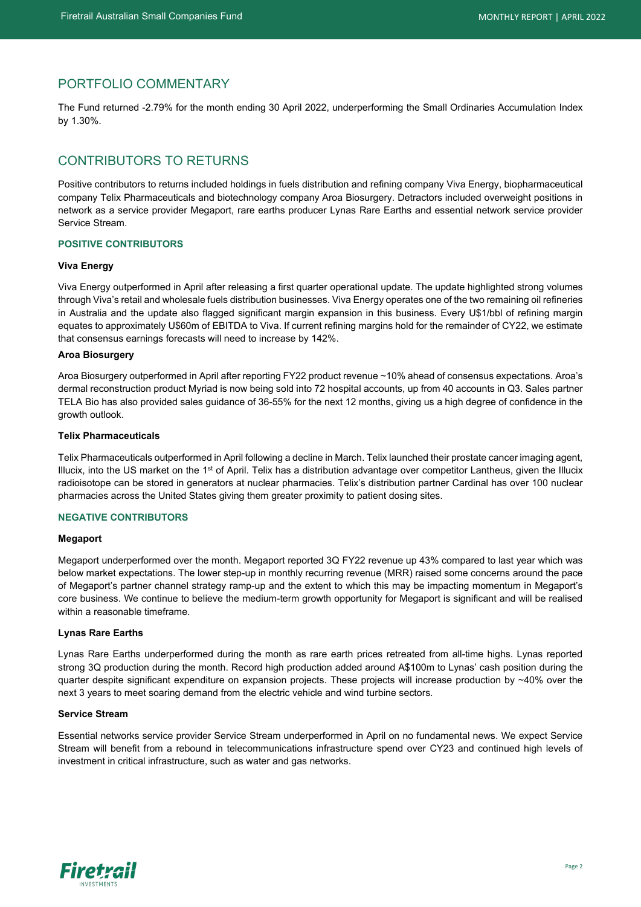# PORTFOLIO COMMENTARY

The Fund returned -2.79% for the month ending 30 April 2022, underperforming the Small Ordinaries Accumulation Index by 1.30%.

# CONTRIBUTORS TO RETURNS

Positive contributors to returns included holdings in fuels distribution and refining company Viva Energy, biopharmaceutical company Telix Pharmaceuticals and biotechnology company Aroa Biosurgery. Detractors included overweight positions in network as a service provider Megaport, rare earths producer Lynas Rare Earths and essential network service provider Service Stream.

#### **POSITIVE CONTRIBUTORS**

#### **Viva Energy**

Viva Energy outperformed in April after releasing a first quarter operational update. The update highlighted strong volumes through Viva's retail and wholesale fuels distribution businesses. Viva Energy operates one of the two remaining oil refineries in Australia and the update also flagged significant margin expansion in this business. Every U\$1/bbl of refining margin equates to approximately U\$60m of EBITDA to Viva. If current refining margins hold for the remainder of CY22, we estimate that consensus earnings forecasts will need to increase by 142%.

#### **Aroa Biosurgery**

Aroa Biosurgery outperformed in April after reporting FY22 product revenue ~10% ahead of consensus expectations. Aroa's dermal reconstruction product Myriad is now being sold into 72 hospital accounts, up from 40 accounts in Q3. Sales partner TELA Bio has also provided sales guidance of 36-55% for the next 12 months, giving us a high degree of confidence in the growth outlook.

#### **Telix Pharmaceuticals**

Telix Pharmaceuticals outperformed in April following a decline in March. Telix launched their prostate cancer imaging agent, Illucix, into the US market on the 1<sup>st</sup> of April. Telix has a distribution advantage over competitor Lantheus, given the Illucix radioisotope can be stored in generators at nuclear pharmacies. Telix's distribution partner Cardinal has over 100 nuclear pharmacies across the United States giving them greater proximity to patient dosing sites.

#### **NEGATIVE CONTRIBUTORS**

#### **Megaport**

Megaport underperformed over the month. Megaport reported 3Q FY22 revenue up 43% compared to last year which was below market expectations. The lower step-up in monthly recurring revenue (MRR) raised some concerns around the pace of Megaport's partner channel strategy ramp-up and the extent to which this may be impacting momentum in Megaport's core business. We continue to believe the medium-term growth opportunity for Megaport is significant and will be realised within a reasonable timeframe.

#### **Lynas Rare Earths**

Lynas Rare Earths underperformed during the month as rare earth prices retreated from all-time highs. Lynas reported strong 3Q production during the month. Record high production added around A\$100m to Lynas' cash position during the quarter despite significant expenditure on expansion projects. These projects will increase production by ~40% over the next 3 years to meet soaring demand from the electric vehicle and wind turbine sectors.

#### **Service Stream**

Essential networks service provider Service Stream underperformed in April on no fundamental news. We expect Service Stream will benefit from a rebound in telecommunications infrastructure spend over CY23 and continued high levels of investment in critical infrastructure, such as water and gas networks.

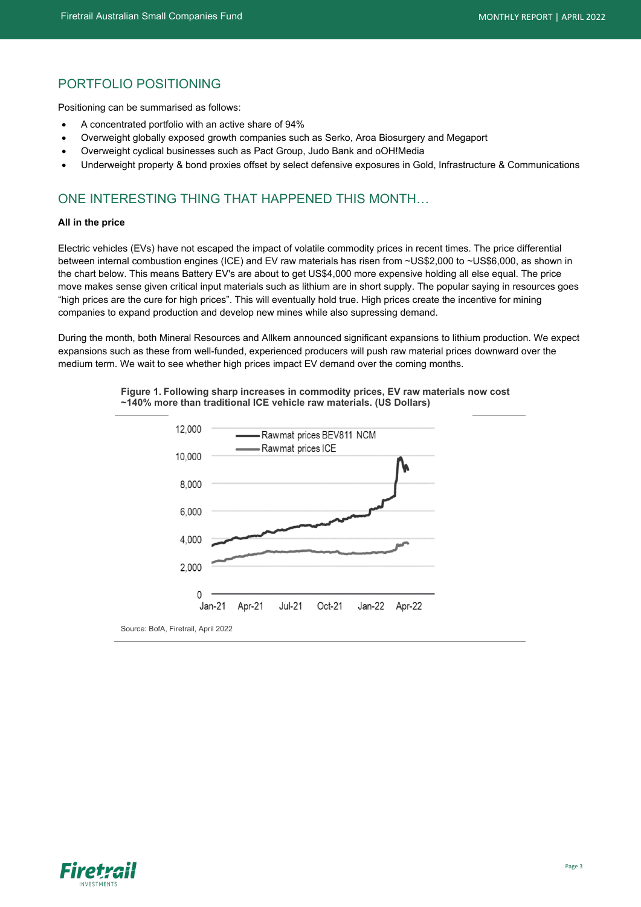# PORTFOLIO POSITIONING

Positioning can be summarised as follows:

- A concentrated portfolio with an active share of 94%
- Overweight globally exposed growth companies such as Serko, Aroa Biosurgery and Megaport
- Overweight cyclical businesses such as Pact Group, Judo Bank and oOH!Media
- Underweight property & bond proxies offset by select defensive exposures in Gold, Infrastructure & Communications

# ONE INTERESTING THING THAT HAPPENED THIS MONTH…

#### **All in the price**

Electric vehicles (EVs) have not escaped the impact of volatile commodity prices in recent times. The price differential between internal combustion engines (ICE) and EV raw materials has risen from ~US\$2,000 to ~US\$6,000, as shown in the chart below. This means Battery EV's are about to get US\$4,000 more expensive holding all else equal. The price move makes sense given critical input materials such as lithium are in short supply. The popular saying in resources goes "high prices are the cure for high prices". This will eventually hold true. High prices create the incentive for mining companies to expand production and develop new mines while also supressing demand.

During the month, both Mineral Resources and Allkem announced significant expansions to lithium production. We expect expansions such as these from well-funded, experienced producers will push raw material prices downward over the medium term. We wait to see whether high prices impact EV demand over the coming months.



 $Jul-21$ 

Apr-21

Oct-21

 $Jan-22$ 

Apr-22

**Figure 1. Following sharp increases in commodity prices, EV raw materials now cost ~140% more than traditional ICE vehicle raw materials. (US Dollars)** 



8.000

6,000

4.000

2,000

 $\mathbf 0$  $Jan-21$